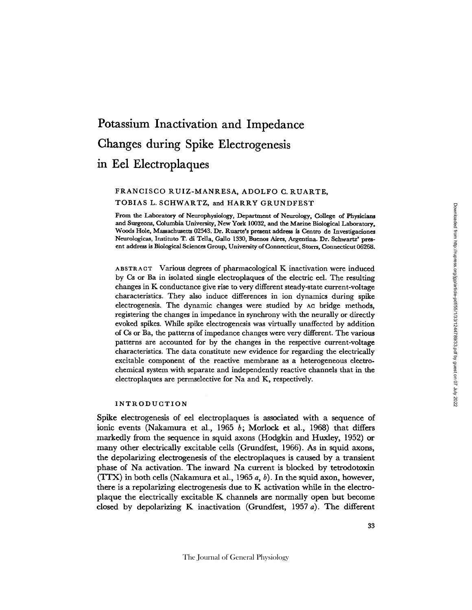# **Potassium Inactivation and Impedance Changes during Spike Electrogenesis in Eel Electroplaques**

## FRANCISCO RUIZ-MANRESA, ADOLFO C. RUARTE,

#### TOBIAS L. SCHWARTZ, and HARRY GRUNDFEST

From the Laboratory of Neurophysiology, Department of Neurology, College of Physicians and Surgeons, Columbia University, **New York** 10032, and the Marine Biological Laboratory, Woods Hole, Massachusetts 02543. Dr. Ruarte's present address is Ccntro de Investigaciones Neurologicas, Instimto T. di Tella, Gallo 1330, Buenos Aires, Argentina. Dr. Schwartz' **present address is Biological Sciences Group, University of Connecticut, Storrs, Connecticut 06268.** 

ABSTRACT Various degrees of pharmacological K inactivation were induced by Cs or Ba in isolated single electroplaques of the electric eel. The resulting changes in K conductance give rise to very different steady-state current-voltage characteristics. They also induce differences in ion dynamics during spike electrogenesis. The dynamic changes were studied by AC bridge methods, registering the changes in impedance in synchrony with the neurally or directly evoked spikes. While spike electrogencsis was virtually unaffected by addition of Cs or Ba, the patterns of impedance changes were very different. The various patterns are accounted for by the changes in the respective current-voltage characteristics. The data constitute new evidence for regarding the electrically excitable component of the reactive membrane as a heterogeneous electrochemical system with separate and independently reactive channels that in the electroplaques are permselective for Na and K, respectively.

### INTRODUCTION

Spike electrogenesis of eel electroplaques is associated with a sequence of ionic events (Nakamura et al., 1965 b; Morlock et al., 1968) that differs markedly from the sequence in squid axons (Hodgkin and Huxley, 1952) or many other electrically excitable cells (Grundfest, 1966). As in squid axons, the depolarizing electrogenesis of the electroplaques is caused by a transient phase of Na activation. The inward Na current is blocked by tetrodotoxin  $(TTX)$  in both cells (Nakamura et al., 1965 a, b). In the squid axon, however, there is a repolarizing electrogenesis due to K activation while in the electroplaque the electrically excitable K channels are normally open but become closed by depolarizing K inactivation (Grundfest, 1957 a). The different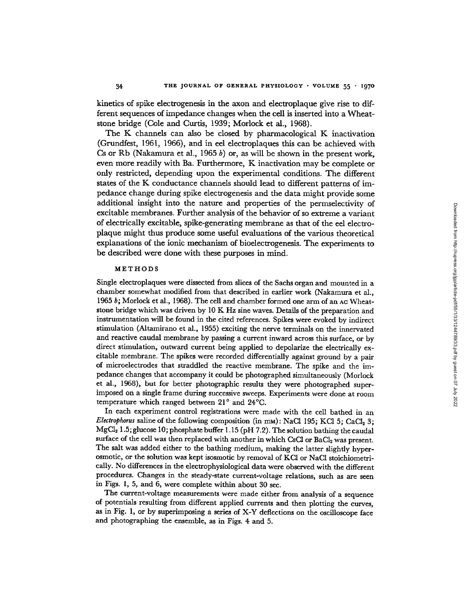kinetics of spike electrogenesis in the axon and electroplaque give rise to different sequences of impedance changes when the cell is inserted into a Wheatstone bridge (Cole and Curtis, 1939; Morlock et al., 1968).

The K channels can also be closed by pharmacological K inactivation (Grundfest, 1961, 1966), and in eel electroplaques this can be achieved with Cs or Rb (Nakamura et al., 1965 b) or, as will be shown in the present work, even more readily with Ba. Furthermore, K inactivation may be complete or only restricted, depending upon the experimental conditions. The different states of the K conductance channels should lead to different patterns of impedance change during spike electrogenesis and the data might provide some additional insight into the nature and properties of the permselectivity of excitable membranes. Further analysis of the behavior of so extreme a variant of electrically excitable, spike-generating membrane as that of the eel electroplaque might thus produce some useful evaluations of the various theoretical explanations of the ionic mechanism of bioelectrogenesis. The experiments to be described were done with these purposes in mind.

#### METHODS

Single electroplaques were dissected from slices of the Sachs organ and mounted in a chamber somewhat modified from that described in earlier work (Nakamura et al., 1965  $b$ ; Morlock et al., 1968). The cell and chamber formed one arm of an AC Wheatstone bridge which was driven by 10 K Hz sine waves. Details of the preparation and instrumentation will be found in the cited references. Spikes were evoked by indirect stimulation (Ahamirano et al., 1955) exciting the nerve terminals on the innervated and reactive caudal membrane by passing a current inward across this surface, or by direct stimulation, outward current being applied to depolarize the electrically excitable membrane. The spikes were recorded differentially against ground by a pair of microelectrodes that straddled the reactive membrane. The spike and the impedance changes that accompany it could be photographed simultaneously (Morlock et al., 1968), but for better photographic results they were photographed superimposed on a single frame during successive sweeps. Experiments were done at room temperature which ranged between 21° and 24°C.

In each experiment control registrations were made with the cell bathed in an *Electrophorus* saline of the following composition (in mm): NaCl 195; KCl 5; CaCl<sub>2</sub> 3;  $MgCl<sub>2</sub> 1.5;$  glucose 10; phosphate buffer 1.15 (pH 7.2). The solution bathing the caudal surface of the cell was then replaced with another in which CsCl or  $BaCl<sub>2</sub>$  was present. The salt was added either to the bathing medium, making the latter slightly hyperosmotic, or the solution was kept isosmotic by removal of KC1 or NaCI stoichiometrically. No differences in the electrophysiological data were observed with the different procedures. Changes in the steady-state current-voltage relations, such as are seen in Figs. 1, 5, and 6, were complete within about 30 see.

The current-voltage measurements were made either from analysis of a sequence of potentials resulting from different applied currents and then plotting the curves, as in Fig. 1, or by superimposing a series of X-Y deflections on the oscilloscope face and photographing the ensemble, as in Figs. 4 and 5.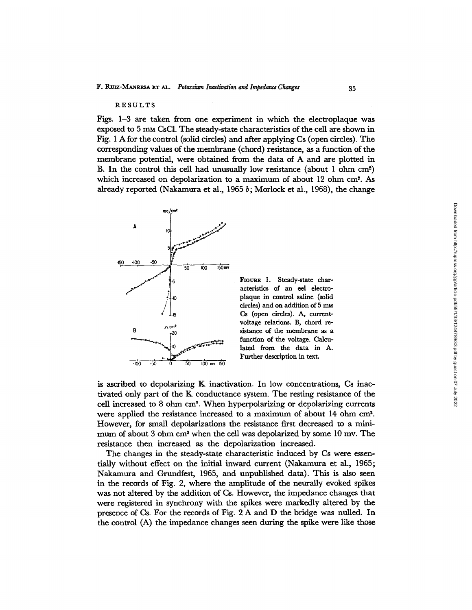#### RESULTS

Figs. 1-3 are taken from one experiment in which the electroplaque was exposed to 5 mM CsC1. The steady-state characteristics of the cell are shown in Fig. 1 A for the control (solid circles) and after applying Cs (open circles). The corresponding values of the membrane (chord) resistance, as a function of the membrane potential, were obtained from the data of A and are plotted in B. In the control this cell had unusually low resistance (about 1 ohm cm<sup>2</sup>) which increased on depolarization to a maximum of about  $12$  ohm cm<sup>2</sup>. As already reported (Nakamura et al., 1965 b; Morlock et al., 1968), the change



FIGURE 1. Steady-state characterisfics of an eel electroplaque in control saline (solid circles) and on addition of 5 mM Cs (open circles). A, currentvoltage relations. B, chord resistance of the membrane as a function of the voltage. Calculated from the data in A. Further description in text.

is ascribed to depolarizing K inactivation. In low concentrations, Cs inactivated only part of the K conductance system. The resting resistance of the cell increased to 8 ohm cm<sup>2</sup>. When hyperpolarizing or depolarizing currents were applied the resistance increased to a maximum of about 14 ohm cm<sup>2</sup>. However, for small depolarizations the resistance first decreased to a minimum of about 3 ohm  $cm<sup>2</sup>$  when the cell was depolarized by some 10 mv. The resistance then increased as the depolarization increased.

The changes in the steady-state characteristic induced by Cs were essentially without effect on the initial inward current (Nakamura et al., 1965; Nakamura and Grundfest, 1965, and unpublished data). This is also seen in the records of Fig. 2, where the amplitude of the neurally evoked spikes was not altered by the addition of Cs. However, the impedance changes that were registered in synchrony with the spikes were markedly altered by the presence of Cs. For the records of Fig. 2 A and D the bridge was hulled. In the control (A) the impedance changes seen during the spike were like those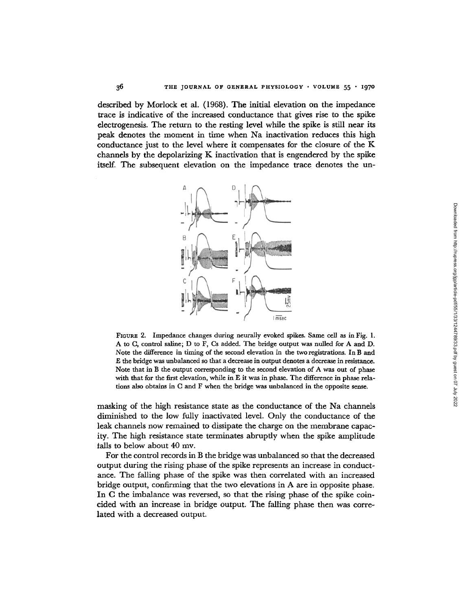described by Morlock et al. (1968). The initial elevation on the impedance trace is indicative of the increased conductance that gives rise to the spike electrogenesis. The return to the resting level while the spike is still near its peak denotes the moment in time when Na inactivation reduces this high conductance just to the level where it compensates for the closure of the K channels by the depolarizing K inactivation that is engendered by the spike itself. The subsequent elevation on the impedance trace denotes the un-



FIGURE 2. Impedance changes during neurally evoked spikes. Same cell as in Fig. 1. A to C, control saline; D to F, Cs added. The bridge output was nulled for A and D. Note the difference in timing of the second elevation in the two registrations. In B and E the bridge was unbalanced so that a decrease in output denotes a decrease in resistance. Note that in B the output corresponding to the second elevation of A was out of phase with that for the first elevation, while in E it was in phase. The difference in phase relations also obtains in C and F when the bridge was unbalanced in the opposite sense.

masking of the high resistance state as the conductance of the Na channels diminished to the low fully inactivated level. Only the conductance of the leak channels now remained to dissipate the charge on the membrane capacity. The high resistance state terminates abruptly when the spike amplitude tails to below about 40 my.

For the control records in B the bridge was unbalanced so that the decreased output during the rising phase of the spike represents an increase in conductance. The failing phase of the spike was then correlated with an increased bridge output, confirming that the two elevations in A are in opposite phase, In C the imbalance was reversed, so that the rising phase of the spike coincided with an increase in bridge output. The falling phase then was correlated with a decreased output.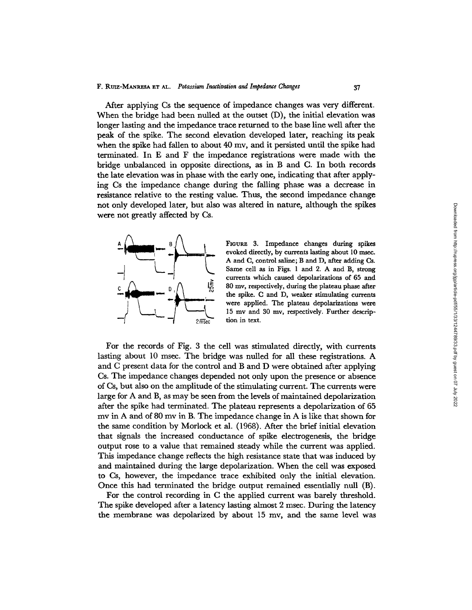After applying Cs the sequence of impedance changes was very different. When the bridge had been nulled at the outset (D), the initial elevation was longer lasting and the impedance trace returned to the base line well after the peak of the spike. The second elevation developed later, reaching its peak when the spike had fallen to about 40 my, and it persisted until the spike had terminated. In E and F the impedance registrations were made with the bridge unbalanced in opposite directions, as in B and C. In both records the late elevation was in phase with the early one, indicating that after applying Cs the impedance change during the falling phase was a decrease in resistance relative to the resting value. Thus, the second impedance change not only developed later, but also was altered in nature, although the spikes were not greatly affected by Cs.



FIGURE 3. Impedance changes during spikes evoked directly, by currents lasting about 10 msec. A and C, control saline; B and D, after adding Cs. Same cell as in Figs. 1 and 2. A and B, strong currents which caused depolarizations of 65 and 80 my, respectively, during the plateau phase after the spike. C and D, weaker stimulating currents were applied. The plateau depolarizations were 15 my and 30 my, respectively. Further description in text.

For the records of Fig. 3 the cell was stimulated directly, with currents lasting about 10 msec. The bridge was nulled for all these registrations. A and C present data for the control and B and D were obtained after applying Cs. The impedance changes depended not only upon the presence or absence of Cs, but also on the amplitude of the stimulating current. The currents were large for A and B, as may be seen from the levels of maintained depolarization after the spike had terminated. The plateau represents a depolarization of 65 mv in A and of 80 mv in B. The impedance change in A is like that shown for the same condition by Morlock et al. (1968). After the brief initial elevation that signals the increased conductance of spike electrogenesis, the bridge output rose to a value that remained steady while the current was applied. This impedance change reflects the high resistance state that was induced by and maintained during the large depolarization. When the cell was exposed to Cs, however, the impedance trace exhibited only the initial elevation. Once this had terminated the bridge output remained essentially null (B).

For the control recording in C the applied current was barely threshold. The spike developed after a latency lasting almost 2 msec. During the latency the membrane was depolarized by about 15 mv, and the same level was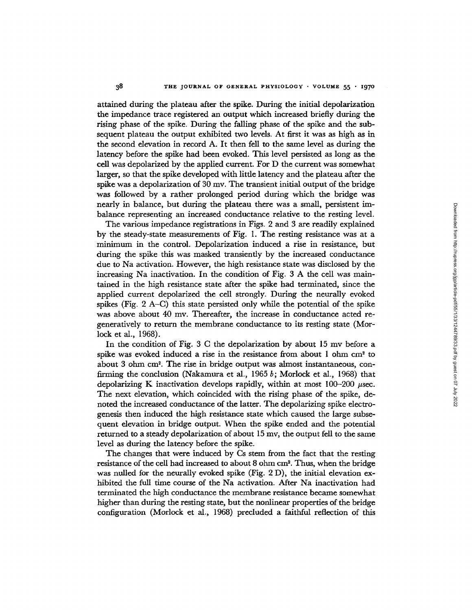attained during the plateau after the spike. During the initial depolarization the impedance trace registered an output which increased briefly during the rising phase of the spike. During the falling phase of the spike and the subsequent plateau the output exhibited two levels. At first it was as high as in the second elevation in record A. It then fell to the same level as during the latency before the spike had been evoked. This level persisted as long as the cell was depolarized by the applied current. For D the current was somewhat larger, so that the spike developed with little latency and the plateau after the spike was a depolarization of 30 my. The transient initial output of the bridge was followed by a rather prolonged period during which the bridge was nearly in balance, but during the plateau there was a small, persistent imbalance representing an increased conductance relative to the resting level.

The various impedance registrations in Figs. 2 and 3 are readily explained by the steady-state measurements of Fig. 1. The resting resistance was at a minimum in the control. Depolarization induced a rise in resistance, but during the spike this was masked transiently by the increased conductance due to Na activation. However, the high resistance state was disclosed by the increasing Na inactivation. In the condition of Fig. 3 A the cell was maintained in the high resistance state after the spike had terminated, since the applied current depolarized the cell strongly. During the neurally evoked spikes (Fig. 2 A-C) this state persisted only while the potential of the spike was above about 40 mv. Thereafter, the increase in conductance acted regeneratively to return the membrane conductance to its resting state (Motlock et al., 1968).

In the condition of Fig. 3 C the depolarization by about 15 my before a spike was evoked induced a rise in the resistance from about  $1 \text{ ohm cm}^2$  to about 3 ohm cm<sup>2</sup>. The rise in bridge output was almost instantaneous, confirming the conclusion (Nakamura et al., 1965 b; Morlock et al., 1968) that depolarizing K inactivation develops rapidly, within at most  $100-200$  usec. The next elevation, which coincided with the rising phase of the spike, denoted the increased conductance of the latter. The depolarizing spike electrogenesis then induced the high resistance state which caused the large subsequent elevation in bridge output. When the spike ended and the potential returned to a steady depolarization of about 15 my, the output fell to the same level as during the latency before the spike.

The changes that were induced by Cs stem from the fact that the resting resistance of the cell had increased to about 8 ohm cm<sup>2</sup>. Thus, when the bridge was nulled for the neurally evoked spike (Fig. 2 D), the initial elevation exhibited the full time course of the Na activation. After Na inactivation had terminated the high conductance the membrane resistance became somewhat higher than during the resting state, but the nonlinear properties of the bridge configuration (Morlock et al., 1968) precluded a faithful reflection of this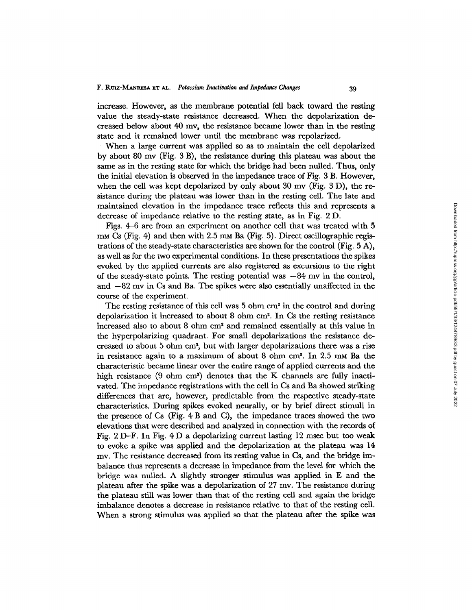increase. However, as the membrane potential fell back toward the resting value the steady-state resistance decreased. When the depolarization decreased below about 40 mv, the resistance became lower than in the resting state and it remained lower until the membrane was repolarized.

When a large current was applied so as to maintain the cell depolarized by about 80 mv (Fig. 3 B), the resistance during this plateau was about the same as in the resting state for which the bridge had been hulled. Thus, only the initial elevation is observed in the impedance trace of Fig. 3 B. However, when the cell was kept depolarized by only about 30 my (Fig. 3 D), the resistance during the plateau was lower than in the resting cell. The late and maintained elevation in the impedance trace reflects this and represents a decrease of impedance relative to the resting state, as in Fig. 2 D.

Figs. 4-6 are from an experiment on another cell that was treated with 5  $rm K$  Cs (Fig. 4) and then with 2.5  $rm K$  Ba (Fig. 5). Direct oscillographic registrations of the steady-state characteristics are shown for the control (Fig. 5 A), as well as for the two experimental conditions. In these presentations the spikes evoked by the applied currents are also registered as excursions to the right of the steady-state points. The resting potential was -84 my in the control, and  $-82$  my in Cs and Ba. The spikes were also essentially unaffected in the course of the experiment.

The resting resistance of this cell was  $5$  ohm  $cm<sup>2</sup>$  in the control and during depolarization it increased to about 8 ohm  $cm<sup>2</sup>$ . In Cs the resting resistance increased also to about 8 ohm cm<sup>2</sup> and remained essentially at this value in the hyperpolarizing quadrant. For small depolarizations the resistance decreased to about  $5 \text{ ohm cm}^2$ , but with larger depolarizations there was a rise in resistance again to a maximum of about 8 ohm  $cm<sup>2</sup>$ . In 2.5 mm Ba the characteristic became linear over the entire range of applied currents and the high resistance  $(9 \text{ ohm cm}^2)$  denotes that the K channels are fully inactivated. The impedance registrations with the cell in Cs and Ba showed striking differences that are, however, predictable from the respective steady-state characteristics. During spikes evoked neurally, or by brief direct stimuli in the presence of Cs (Fig. 4 B and C), the impedance traces showed the two elevations that were described and analyzed in connection with the records of Fig. 2 D-F. In Fig. 4 D a depolarizing current lasting 12 msec but too weak to evoke a spike was applied and the depolarization at the plateau was 14 my. The resistance decreased from its resting value in Cs, and the bridge imbalance thus represents a decrease in impedance from the level for which the bridge was nulled. A slightly stronger stimulus was applied in E and the plateau after the spike was a depolarization of 27 my. The resistance during the plateau still was lower than that of the resting cell and again the bridge imbalance denotes a decrease in resistance relative to that of the resting cell. When a strong stimulus was applied so that the plateau after the spike was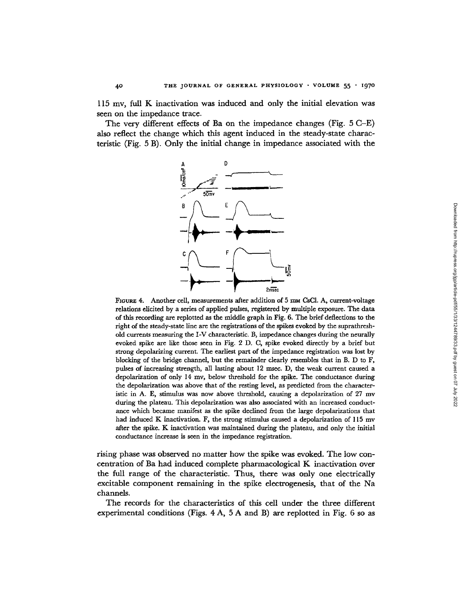115 mv, full K inactivation was induced and only the initial elevation was seen on the impedance trace.

The very different effects of Ba on the impedance changes (Fig. 5 C-E) also reflect the change which this agent induced in the steady-state characteristic (Fig. 5 B). Only the initial change in impedance associated with the



FIGURE 4. Another cell, measurements after addition of 5 mm CsCl. A, current-voltage relations elicited by a series of applied pulses, registered by multiple exposure. The data of this recording are replotted as the middle graph in Fig. 6. The brief deflections to the right of the steady-state line are the registrations of the spikes evoked by the suprathreshold currents measuring the I-V characteristic. B, impedance changes during the neurally evoked spike are like those seen in Fig. 2 D. C, spike evoked directly by a brief but strong depolarizing current. The earliest part of the impedance registration was lost by blocking of the bridge channel, but the remainder clearly resembles that in B. D to F, pulses of increasing strength, all lasting about 19 msec. D, the weak current caused a depolarization of only 14 my, below threshold for the spike. The conductance during the depolarization was above that of the resting level, as predicted from the characteristic in A. E, stimulus was now above threshold, causing a depolarization of 27 mv during the plateau. This depolarization was also associated with an increased conductance which became manifest as the spike declined from the large depolarizations that had induced K inactivation. F, the strong stimulus caused a depolarization of 115 mv after the spike. K inactivation was maintained during the plateau, and only the initial conductance increase is seen in the impedance registration.

rising phase was observed no matter how the spike was evoked. The low concentration of Ba had induced complete pharmacological K inactivation over the full range of the characteristic. Thus, there was only one electrically excitable component remaining in the spike electrogenesis, that of the Na channels.

The records for the characteristics of this cell under the three different experimental conditions (Figs.  $4 A$ ,  $5 A$  and B) are replotted in Fig. 6 so as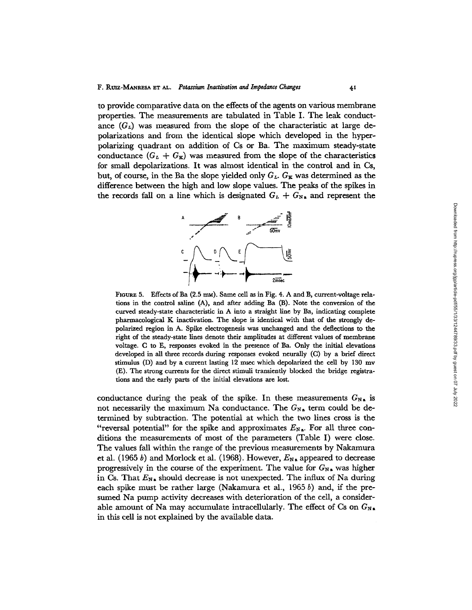to provide comparative data on the effects of the agents on various membrane properties. The measurements are tabulated in Table I. The leak conductance  $(G_L)$  was measured from the slope of the characteristic at large depolarizations and from the identical slope which developed in the hyperpolarizing quadrant on addition of Cs or Ba. The maximum steady-state conductance  $(G_L + G_{\overline{K}})$  was measured from the slope of the characteristics for small depolarizations. It was almost identical in the control and in Cs, but, of course, in the Ba the slope yielded only  $G_L$ .  $G_K$  was determined as the difference between the high and low slope values. The peaks of the spikes in the records fall on a line which is designated  $G_L + G_{\text{Na}}$  and represent the



FIGURE 5. Effects of Ba (2.5 mm). Same cell as in Fig. 4. A and B, current-voltage relations in the control saline (A), and after adding Ba (B). Note the conversion of the curved steady-state characteristic in A into a straight line by Ba, indicating complete pharmacological K inactivation. The slope is identical with that of the strongly depolarized region in A. Spike electrogenesis was unchanged and the deflections to the right of the steady-state lines denote their amplitudes at different values of membrane voltage. C to E, responses evoked in the presence of Ba. Only the initial elevations developed in all three records during responses evoked neurally (C) by a brief direct stimulus (D) and by a current lasting 19 msec which depolarized the ceil by 130 mv (E). The strong currents for the direct stimuli transiently blocked the bridge registrations and the early parts of the initial elevations are lost.

conductance during the peak of the spike. In these measurements  $G_{N_{\text{A}}}$  is not necessarily the maximum Na conductance. The  $G_{N_{\alpha}}$  term could be determined by subtraction. The potential at which the two lines cross is the "reversal potential" for the spike and approximates  $E_{N,a}$ . For all three conditions the measurements of most of the parameters (Table I) were close. The values fall within the range of the previous measurements by Nakamura et al. (1965 b) and Morlock et al. (1968). However,  $E_{\text{Na}}$  appeared to decrease progressively in the course of the experiment. The value for  $G_{N_{\text{A}}}$  was higher in Cs. That  $E_{N_s}$  should decrease is not unexpected. The influx of Na during each spike must be rather large (Nakamura et al.,  $1965 b$ ) and, if the presumed Na pump activity decreases with deterioration of the cell, a considerable amount of Na may accumulate intracellularly. The effect of Cs on  $G_{N_{\text{A}}}$ in this cell is not explained by the available data.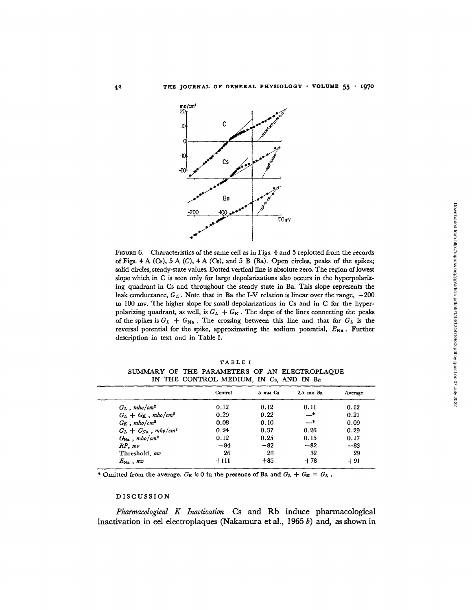

FIGURE 6. Characteristics of the same cell as in Figs. 4 and 5 replotted from the records of Figs.  $4 \text{ A } (Cs)$ ,  $5 \text{ A } (C)$ ,  $4 \text{ A } (Cs)$ , and  $5 \text{ B } (Ba)$ . Open circles, peaks of the spikes; solid circles, steady-state values. Dotted vertical line is absolute zero. The region of lowest slope which in C is seen only for large depolarizations also occurs in the hyperpolarizing quadrant in Cs and throughout the steady state in Ba. This slope represents the leak conductance,  $G_L$ . Note that in Ba the I-V relation is linear over the range,  $-200$ to 100 my. The higher slope for small depolarizations in Cs and in C for the hyperpolarizing quadrant, as well, is  $G_L + G_K$ . The slope of the lines connecting the peaks of the spikes is  $G_L + G_{\text{Na}}$ . The crossing between this line and that for  $G_L$  is the reversal potential for the spike, approximating the sodium potential,  $E_{\text{Na}}$ . Further description in text and in Table I.

TABLE I SUMMARY OF THE PARAMETERS OF AN ELECTROPLAQUE IN THE CONTROL MEDIUM, IN Cs, AND IN Ba

|                                             | Control | $5 \text{ }\mathrm{m}$ $\mathrm{C}_{2}$ | $2.5$ mm Ba | Average |
|---------------------------------------------|---------|-----------------------------------------|-------------|---------|
| $G_L$ , mho/cm <sup>2</sup>                 | 0.12    | 0.12                                    | 0.11        | 0.12    |
| $G_L + G_K$ , mho/cm <sup>2</sup>           | 0.20    | 0.22                                    | —*          | 0.21    |
| $G_{\rm K}$ , mho/cm <sup>2</sup>           | 0.08    | 0.10                                    | —*          | 0.09    |
| $G_L + G_{\text{Na}}$ , mho/cm <sup>2</sup> | 0.24    | 0.37                                    | 0.26        | 0.29    |
| $G_{\text{Na}}$ , mho/cm <sup>2</sup>       | 0.12    | 0.25                                    | 0.15        | 0.17    |
| $RP.$ mv                                    | $-84$   | $-82$                                   | $-82$       | $-83$   |
| Threshold, mv                               | 26      | 28                                      | 32          | 29      |
| $E_{\rm Na}$ , mv                           | $+111$  | $+85$                                   | $+78$       | $+91$   |

\* Omitted from the average.  $G_K$  is 0 in the presence of Ba and  $G_L + G_K = G_L$ .

#### DISCUSSION

*Pharmacological K Inactivation* Cs and Rb induce pharmacological inactivation in eel electroplaques (Nakamura et al., 1965  $b$ ) and, as shown in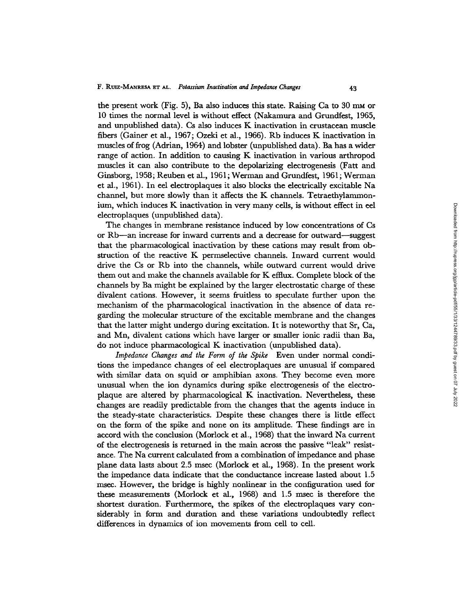the present work (Fig. 5), Ba also induces this state. Raising  $Ca$  to 30 mm or 10 times the normal level is without effect (Nakamura and Grundfest, 1965, and unpublished data). Cs also induces K inactivation in crustacean muscle fibers (Gainer et al., 1967; Ozeki et al., 1966). Rb induces K inactivation in muscles of frog (Adrian, 1964) and lobster (unpublished data). Ba has a wider range of action. In addition to causing K inactivation in various arthropod muscles it can also contribute to the depolarizing electrogenesis (Fatt and Ginsborg, 1958; Reuben et al., 1961; Werman and Grundfest, 1961; Werman et al., 1961). In eel electroplaques it also blocks the electrically excitable Na channel, but more slowly than it affects the K channels. Tetraethylammonium, which induces K inactivation in very many ceils, is without effect in eel electroplaques (unpublished data).

The changes in membrane resistance induced by low concentrations of Cs or Rb--an increase for inward currents and a decrease for outward--suggest that the pharmacological inactivation by these cations may result from obstruction of the reactive K permselective channels. Inward current would drive the Cs or Rb into the channels, while outward current would drive them out and make the channels available for K efflux. Complete block of the channels by Ba might be explained by the larger electrostatic charge of these divalent cations. However, it seems fruitless to speculate further upon the mechanism of the pharmacological inactivation in the absence of data regarding the molecular structure of the excitable membrane and the changes that the latter might undergo during excitation. It is noteworthy that Sr, Ca, and Mn, divalent cations which have larger or smaller ionic radii than Ba, do not induce pharmacological K inactivation (unpublished data).

*Impedance Changes and the Form of the Spike* Even under normal conditions the impedance changes of eel electroplaques are unusual if compared with similar data on squid or amphibian axons. They become even more unusual when the ion dynamics during spike electrogenesis of the electroplaque are altered by pharmacological K inactivation. Nevertheless, these changes are readily predictable from the changes that the agents induce in the steady-state characteristics. Despite these changes there is little effect on the form of the spike and none on its amplitude. These findings are in accord with the conclusion (Morlock et al., 1968) that the inward Na current of the electrogenesis is returned in the main across the passive "leak" resistance. The Na current calculated from a combination of impedance and phase plane data lasts about 2.5 msec (Morlock et al., 1968). In the present work the impedance data indicate that the conductance increase lasted about 1.5 msec. However, the bridge is highly nonlinear in the configuration used for these measurements (Morlock et al.,  $1968$ ) and 1.5 msec is therefore the shortest duration. Furthermore, the spikes of the electroplaques vary considerably in form and duration and these variations undoubtedly reflect differences in dynamics of ion movements from cell to cell.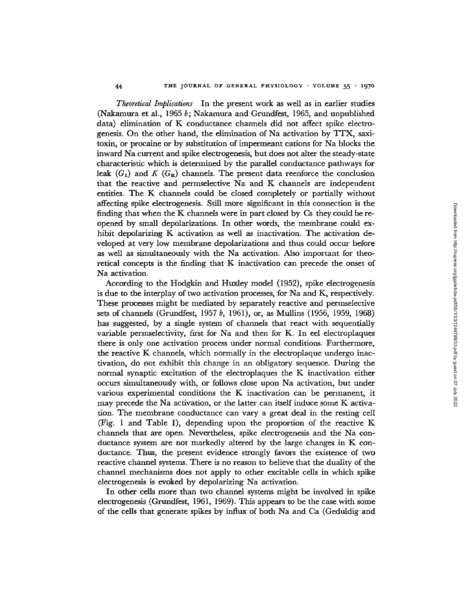*Theoretical Implications* In the present work as well as in earlier studies (Nakamura et al., 1965 b; Nakamura and Grundfest, 1965, and unpublished data) elimination of K conductance channels did not affect spike electrogenesis. On the other hand, the elimination of Na activation by TTX, saxitoxin, or procaine or by substitution of impermeant cations for Na blocks the inward Na current and spike electrogenesis, but does not alter the steady-state characteristic which is determined by the parallel conductance pathways for leak  $(G_L)$  and K  $(G_R)$  channels. The present data reenforce the conclusion that the reactive and permselective Na and K channels are independent entities. The K channels could be closed completely or partially without affecting spike electrogenesis. Still more significant in this connection is the finding that when the K channels were in part closed by Cs they could be reopened by small depolarizations. In other words, the membrane could exhibit depolarizing K activation as well as inactivation. The activation developed at very low membrane depolarizations and thus could occur before as well as simultaneously with the Na activation. Also important for theoretical concepts is the finding that K inactivation can precede the onset of Na activation.

According to the Hodgkin and Huxley model (1952), spike electrogenesis is due to the interplay of two activation processes, for Na and K, respectively. These processes might be mediated by separately reactive and permselective sets of channels (Grundfest, 1957 b, 1961), or, as Mullins (1956, 1959, 1968) has suggested, by a single system of channels that react with sequentially variable permselectivity, first for Na and then for K. In eel electroplaques there is only one activation process under normal conditions. Furthermore, the reactive K channels, which normally in the electroplaque undergo inactivation, do not exhibit this change in an obligatory sequence. During the normal synaptic excitation of the electroplaques the K inactivation either occurs simultaneously with, or follows close upon Na activation, but under various experimental conditions the K inactivation can be permanent, it may precede the Na activation, or the latter can itself induce some K activation. The membrane conductance can vary a great deal in the resting cell (Fig. 1 and Table I), depending upon the proportion of the reactive K channels that are open. Nevertheless, spike electrogenesis and the Na conductance system are not markedly altered by the large changes in K conductance. Thus, the present evidence strongly favors the existence of two reactive channel systems. There is no reason to believe that the duality of the channel mechanisms does not apply to other excitable cells in which spike electrogenesis is evoked by depolarizing Na activation.

In other cells more than two channel systems might be involved in spike electrogenesis (Grundfest, 1961, 1969). This appears to be the case with some of the cells that generate spikes by influx of both Na and Ca (Geduldig and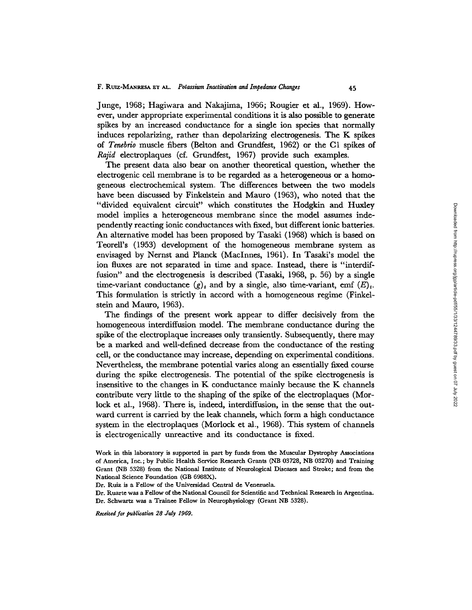Junge, 1968; Hagiwara and Nakajima, 1966; Rougier et al., 1969). However, under appropriate experimental conditions it is also possible to generate spikes by an increased conductance for a single ion species that normally induces repolarizing, rather than depolarizing electrogenesis. The K spikes of *Tenebrio* muscle fibers (Belton and Grundfest, 1962) or the C1 spikes of *Rajid* electroplaques (cf. Grundfest, 1967) provide such examples.

The present data also bear on another theoretical question, whether the eleetrogenic cell membrane is to be regarded as a heterogeneous or a homogeneous electrochemical system. The differences between the two models have been discussed by Finkelstein and Mauro (1963), who noted that the "divided equivalent circuit" which constitutes the Hodgkin and Huxley model implies a heterogeneous membrane since the model assumes independently reacting ionic conductances with fixed, but different ionic batteries. An alternative model has been proposed by Tasaki (1968) which is based on TeoreU's (1953) development of the homogeneous membrane system as envisaged by Nernst and Planck (MacInnes, 1961). In Tasaki's model the ion fluxes are not separated in time and space. Instead, there is "interdiffusion" and the electrogenesis is described (Tasaki, 1968, p. 56) by a single time-variant conductance  $(g)_t$  and by a single, also time-variant, emf  $(E)_t$ . This formulation is strictly in accord with a homogeneous regime (Finkelstein and Mauro, 1963).

The findings of the present work appear to differ decisively from the homogeneous interdiffusion model. The membrane conductance during the spike of the electroplaque increases only transiently. Subsequently, there may be a marked and well-defined decrease from the conductance of the resting cell, or the conductance may increase, depending on experimental conditions. Nevertheless, the membrane potential varies along an essentially fixed course during the spike electrogenesis. The potential of the spike electrogenesis is insensitive to the changes in K conductance mainly because the K channels contribute very little to the shaping of the spike of the electroplaques (Motlock et al., 1968). There is, indeed, interdiffusion, in the sense that the outward current is carried by the leak channels, which form a high conductance system in the electroplaques (Morlock et al., 1968). This system of channels is electrogenically unreactive and its conductance is fixed.

*Received for publication 28 July 1969.* 

Work in this laboratory is supported in part by funds from the Muscular Dystrophy Associations of America, Inc.; by Public Health Service Research Grants (NB 03728, NB 03270) and Training Grant (BIB 5328) from the National Institute of Neurological Diseases and Stroke; and from the National Science Foundation (GB 6988X).

Dr. Ruiz is a Fellow of the Universidad Central de Venezuela.

Dr. Ruarte was a Fellow of the National Council for Scientific and Technical Research in Argentina. Dr. Schwartz was a Trainee Fellow in Neurophysiology (Grant NB 5328).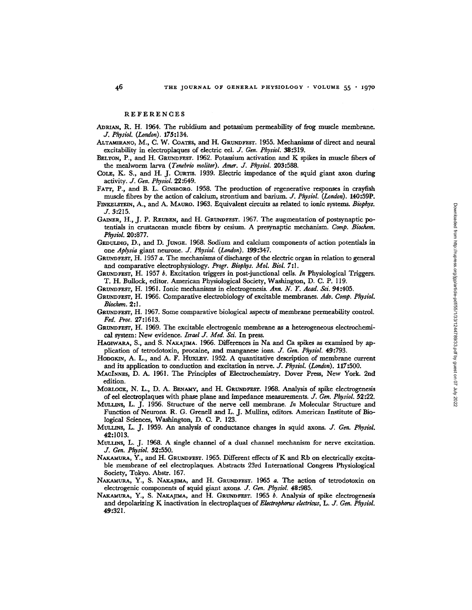#### REFERENCES

ADRIAN, R. H. 1964. The rubidium and potassium permeability of frog muscle membrane. *J. Physiol. (London). 175:134.* 

ALTAMIRANO, M., C. W. COATES, and H. GRUNDFEST. 1955. Mechanisms of direct and neural excitability in electroplaques of electric eel. J. Gen. Physiol. **38:319.** 

BELTON, P., and H. GRUNDFEST. 1962. Potassium activation and K spikes in muscle fibers of the mealworm larva *(Tenebrio molitor). Amer. J. Physiol.* 203:588.

COLE, K. S., and H. J. CURTIS. 1939. Electric impedance of the squid giant axon during activity. *J. Gen. Physiol.* 22:649.

FATr, P., and B. L. GmSBORG. 1958. The production of regenerative responses in crayfish muscle fibres by the action of calcium, strontium *and barium. Jr. Physiol. (London).* 140:59P.

- FINKELSTEIN, A., and A. MAURO. 1963. Equivalent circuits as related to ionic systems. *Biophys.*  $J. 3:215.$
- GAINER, H., J. P. REUBEN, and H. GRUNDFEST. 1967. The augmentation of postsynaptic potentials in crustacean muscle fibers by cesium. A presynaptic mechanism. *Comp. Bioehem. Physiol.* 20:877.
- GEDULDIG, D., and D. JUNGE. 1968. Sodium and calcium components of action potentials in one *Aplysia* giant neurone. *J. Physiol. (London).* 199:347.

GRUNDFEST, H. 1957 a. The mechanisms of discharge of the electric organ in relation to general and comparative electrophysiology. *Progr. Biophys. MoL Biol. 7:1.* 

GRUNDFEST, H. 1957 b. Excitation triggers in post-junctional cells. In Physiological Triggers. T. H. Bullock, editor. American Physiological Society, Washington, D. C. P. 119.

- GRUNDFEST, H. 1961. Ionic mechanisms in electrogenesis. *Ann. N. Y. Acad. Sci.* 94:405
- GRUNDFEST, H. 1966. Comparative electrobiology of excitable membranes. Adv. Comp. Physiol. *Biodum.* 2:1.
- GRUNDFEST, H. 1967. Some comparative biological aspects of membrane permeability control. *Fed. Proe.* 27:1613.
- GRUNDFEST, H. 1969. The excitable electrogenic membrane as a heterogeneous electrochemical system: New evidence. *Israel J. Med. Sci.* In press.
- HAGIWARA, S., and S. NAKAJIMA. 1966. Differences in Na and Ca spikes as examined by application of tetrodotoxin, procaine, and manganese ions. *J. Gen. Physiol.* 49:793.
- HODGKIN, A. L., and A. F. HUXLEY. 1952. A quantitative description of membrane current and its application to conduction and excitation in nerve. *J. Physiol. (London).* 117:500.

MACINNES, D. A. 1961. The Principles of Electrochemistry. Dover Press, New York. 2nd edition.

- MORLOCK, N. L., D. A. BENAMY, and H. GRUNDFEST. 1968. Analysis of spike electrogenesis of eel electroplaquea with phase plane and impedance measurements, *d. Gen. Physiol.* 52:22.
- MtmLms, L. J. 1956. Structure of the nerve cell membrane. *In* Molecular Structure and Function of Neurons. R. G. Grenell and L. J. Mullins, editors. American Institute of Biological Sciences, Washington, D. C. P. 123.
- MULLINS, L. J. 1959. An analysis of conductance changes in squid axons. J. Gen. Physiol. 42:1013.
- MtmLmS, L. J. 1968. A single channel of a dual channel mechanism for nerve excitation. *J. Gen. Physiol.* 52:550.
- NAKAMURA, Y., and H. GRUNDFEST. 1965. Different effects of K and Rb on electrically excitable membrane of eel electroplaques. Abstracts 23rd International Congress Physiological Society, Tokyo. Abstr. 167.
- NAKAMURA, Y., S. NAKAJIMA, and H. GRUNDFEST. 1965 a. The action of tetrodotoxin on electrogenic components of squid giant axons. *J. Gen. Physiol.* 48:985.
- NAKAMURA, Y., S. NAKAJIMA, and H. GRUNDFEST. 1965 b. Analysis of spike electrogenesis and depolarizing K inactivation in electroplaques of *Electrophorus electricus*, L. J. Gen. Physiol. 49:321.